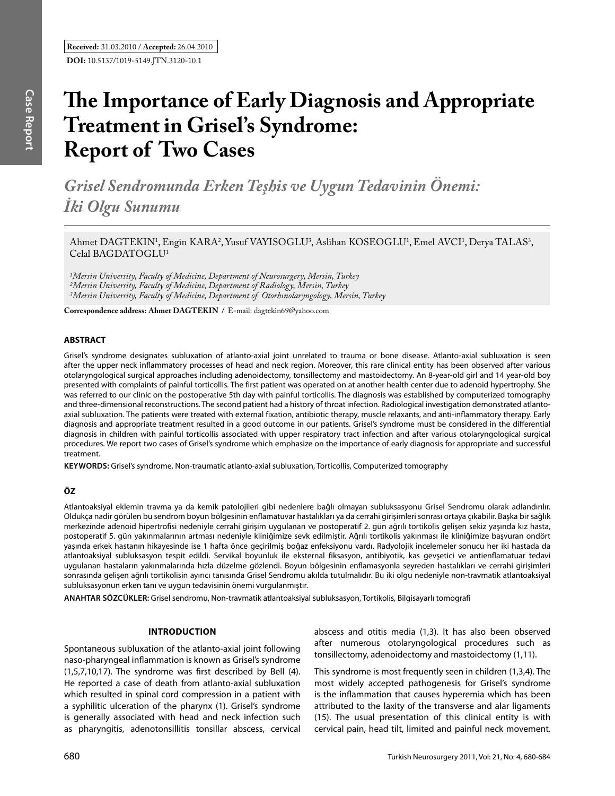# **The Importance of Early Diagnosis and Appropriate Treatment in Grisel's Syndrome: Report of Two Cases**

*Grisel Sendromunda Erken Teşhis ve Uygun Tedavinin Önemi: İki Olgu Sunumu*

Ahmet DAGTEKIN<sup>1</sup>, Engin KARA<sup>2</sup>, Yusuf VAYISOGLU<sup>3</sup>, Aslihan KOSEOGLU<sup>1</sup>, Emel AVCI<sup>1</sup>, Derya TALAS<sup>3</sup>, Celal BAGDATOGLU<sup>1</sup>

*1Mersin University, Faculty of Medicine, Department of Neurosurgery, Mersin, Turkey 2Mersin University, Faculty of Medicine, Department of Radiology, Mersin, Turkey 3Mersin University, Faculty of Medicine, Department of Otorhınolaryngology, Mersin, Turkey*

**Correspondence address: Ahmet DagtekIn /** E-mail: dagtekin69@yahoo.com

## **ABSTRACT**

Grisel's syndrome designates subluxation of atlanto-axial joint unrelated to trauma or bone disease. Atlanto-axial subluxation is seen after the upper neck inflammatory processes of head and neck region. Moreover, this rare clinical entity has been observed after various otolaryngological surgical approaches including adenoidectomy, tonsillectomy and mastoidectomy. An 8-year-old girl and 14 year-old boy presented with complaints of painful torticollis. The first patient was operated on at another health center due to adenoid hypertrophy. She was referred to our clinic on the postoperative 5th day with painful torticollis. The diagnosis was established by computerized tomography and three-dimensional reconstructions. The second patient had a history of throat infection. Radiological investigation demonstrated atlantoaxial subluxation. The patients were treated with external fixation, antibiotic therapy, muscle relaxants, and anti-inflammatory therapy. Early diagnosis and appropriate treatment resulted in a good outcome in our patients. Grisel's syndrome must be considered in the differential diagnosis in children with painful torticollis associated with upper respiratory tract infection and after various otolaryngological surgical procedures. We report two cases of Grisel's syndrome which emphasize on the importance of early diagnosis for appropriate and successful treatment.

**Keywords:** Grisel's syndrome, Non-traumatic atlanto-axial subluxation, Torticollis, Computerized tomography

## **ÖZ**

Atlantoaksiyal eklemin travma ya da kemik patolojileri gibi nedenlere bağlı olmayan subluksasyonu Grisel Sendromu olarak adlandırılır. Oldukça nadir görülen bu sendrom boyun bölgesinin enflamatuvar hastalıkları ya da cerrahi girişimleri sonrası ortaya çıkabilir. Başka bir sağlık merkezinde adenoid hipertrofisi nedeniyle cerrahi girişim uygulanan ve postoperatif 2. gün ağrılı tortikolis gelişen sekiz yaşında kız hasta, postoperatif 5. gün yakınmalarının artması nedeniyle kliniğimize sevk edilmiştir. Ağrılı tortikolis yakınması ile kliniğimize başvuran ondört yaşında erkek hastanın hikayesinde ise 1 hafta önce geçirilmiş boğaz enfeksiyonu vardı. Radyolojik incelemeler sonucu her iki hastada da atlantoaksiyal subluksasyon tespit edildi. Servikal boyunluk ile eksternal fiksasyon, antibiyotik, kas gevşetici ve antienflamatuar tedavi uygulanan hastaların yakınmalarında hızla düzelme gözlendi. Boyun bölgesinin enflamasyonla seyreden hastalıkları ve cerrahi girişimleri sonrasında gelişen ağrılı tortikolisin ayırıcı tanısında Grisel Sendromu akılda tutulmalıdır. Bu iki olgu nedeniyle non-travmatik atlantoaksiyal subluksasyonun erken tanı ve uygun tedavisinin önemi vurgulanmıştır.

**ANAHTAR SÖZCÜKLER:** Grisel sendromu, Non-travmatik atlantoaksiyal subluksasyon, Tortikolis, Bilgisayarlı tomografi

#### **IntroductIon**

Spontaneous subluxation of the atlanto-axial joint following naso-pharyngeal inflammation is known as Grisel's syndrome (1,5,7,10,17). The syndrome was first described by Bell (4). He reported a case of death from atlanto-axial subluxation which resulted in spinal cord compression in a patient with a syphilitic ulceration of the pharynx (1). Grisel's syndrome is generally associated with head and neck infection such as pharyngitis, adenotonsillitis tonsillar abscess, cervical abscess and otitis media (1,3). It has also been observed after numerous otolaryngological procedures such as tonsillectomy, adenoidectomy and mastoidectomy (1,11).

This syndrome is most frequently seen in children (1,3,4). The most widely accepted pathogenesis for Grisel's syndrome is the inflammation that causes hyperemia which has been attributed to the laxity of the transverse and alar ligaments (15). The usual presentation of this clinical entity is with cervical pain, head tilt, limited and painful neck movement.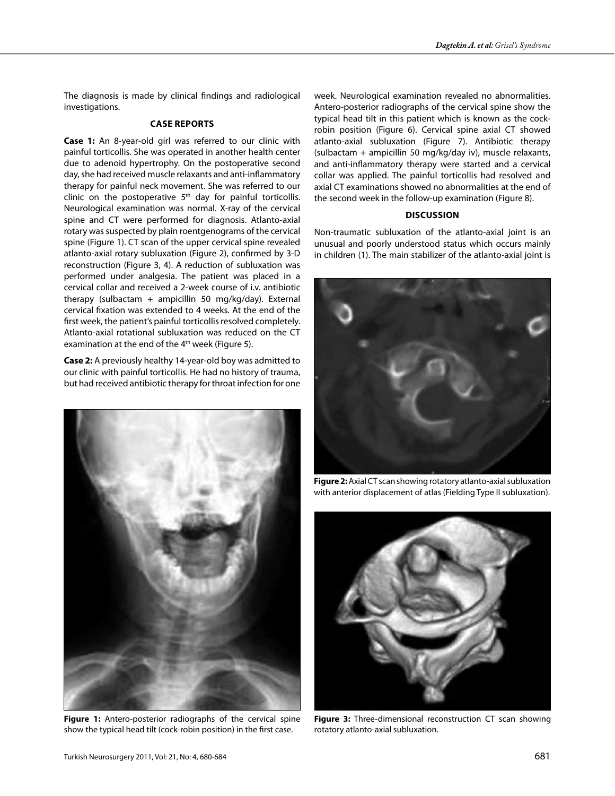The diagnosis is made by clinical findings and radiological investigations.

## **Case Reports**

**Case 1:** An 8-year-old girl was referred to our clinic with painful torticollis. She was operated in another health center due to adenoid hypertrophy. On the postoperative second day, she had received muscle relaxants and anti-inflammatory therapy for painful neck movement. She was referred to our clinic on the postoperative  $5<sup>th</sup>$  day for painful torticollis. Neurological examination was normal. X-ray of the cervical spine and CT were performed for diagnosis. Atlanto-axial rotary was suspected by plain roentgenograms of the cervical spine (Figure 1). CT scan of the upper cervical spine revealed atlanto-axial rotary subluxation (Figure 2), confirmed by 3-D reconstruction (Figure 3, 4). A reduction of subluxation was performed under analgesia. The patient was placed in a cervical collar and received a 2-week course of i.v. antibiotic therapy (sulbactam + ampicillin 50 mg/kg/day). External cervical fixation was extended to 4 weeks. At the end of the first week, the patient's painful torticollis resolved completely. Atlanto-axial rotational subluxation was reduced on the CT examination at the end of the 4<sup>th</sup> week (Figure 5).

**Case 2:** A previously healthy 14-year-old boy was admitted to our clinic with painful torticollis. He had no history of trauma, but had received antibiotic therapy for throat infection for one



**Figure 1:** Antero-posterior radiographs of the cervical spine show the typical head tilt (cock-robin position) in the first case.

week. Neurological examination revealed no abnormalities. Antero-posterior radiographs of the cervical spine show the typical head tilt in this patient which is known as the cockrobin position (Figure 6). Cervical spine axial CT showed atlanto-axial subluxation (Figure 7). Antibiotic therapy (sulbactam + ampicillin 50 mg/kg/day iv), muscle relaxants, and anti-inflammatory therapy were started and a cervical collar was applied. The painful torticollis had resolved and axial CT examinations showed no abnormalities at the end of the second week in the follow-up examination (Figure 8).

### **DIscussIon**

Non-traumatic subluxation of the atlanto-axial joint is an unusual and poorly understood status which occurs mainly in children (1). The main stabilizer of the atlanto-axial joint is



**Figure 2:** Axial CT scan showing rotatory atlanto-axial subluxation with anterior displacement of atlas (Fielding Type II subluxation).



**Figure 3:** Three-dimensional reconstruction CT scan showing rotatory atlanto-axial subluxation.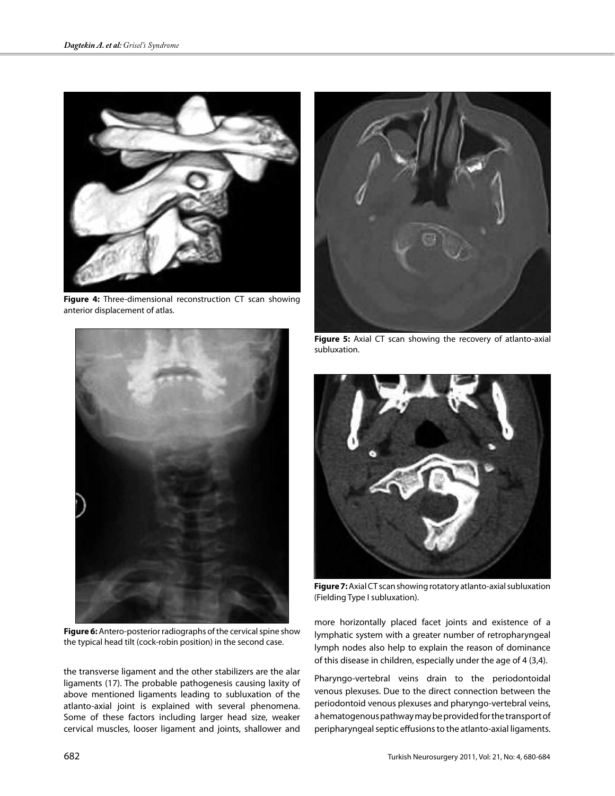

**Figure 4:** Three-dimensional reconstruction CT scan showing anterior displacement of atlas.



**Figure 6:** Antero-posterior radiographs of the cervical spine show the typical head tilt (cock-robin position) in the second case.

the transverse ligament and the other stabilizers are the alar ligaments (17). The probable pathogenesis causing laxity of above mentioned ligaments leading to subluxation of the atlanto-axial joint is explained with several phenomena. Some of these factors including larger head size, weaker cervical muscles, looser ligament and joints, shallower and



**Figure 5:** Axial CT scan showing the recovery of atlanto-axial subluxation.



**Figure 7:** Axial CT scan showing rotatory atlanto-axial subluxation (Fielding Type I subluxation).

more horizontally placed facet joints and existence of a lymphatic system with a greater number of retropharyngeal lymph nodes also help to explain the reason of dominance of this disease in children, especially under the age of 4 (3,4).

Pharyngo-vertebral veins drain to the periodontoidal venous plexuses. Due to the direct connection between the periodontoid venous plexuses and pharyngo-vertebral veins, a hematogenous pathway may be provided for the transport of peripharyngeal septic effusions to the atlanto-axial ligaments.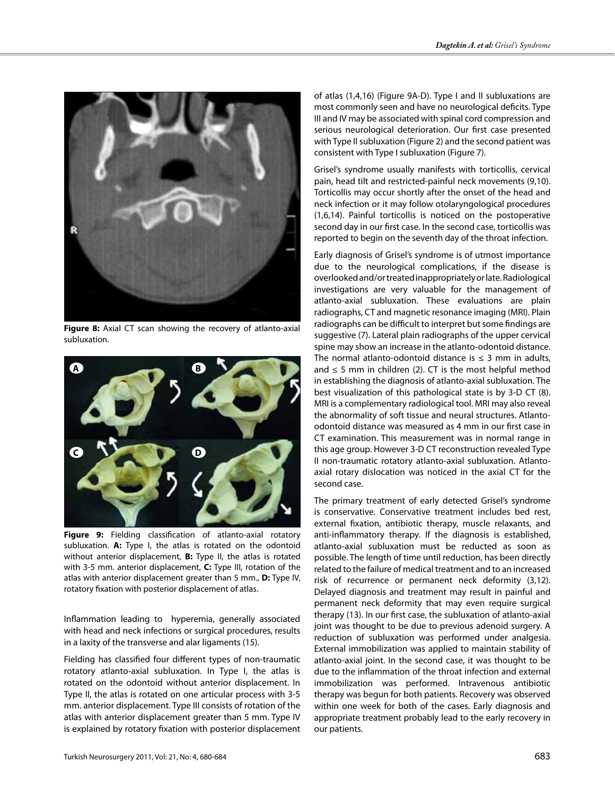

**Figure 8:** Axial CT scan showing the recovery of atlanto-axial subluxation.



**Figure 9:** Fielding classification of atlanto-axial rotatory subluxation. **A:** Type I, the atlas is rotated on the odontoid without anterior displacement, **B:** Type II, the atlas is rotated with 3-5 mm. anterior displacement, **C:** Type III, rotation of the atlas with anterior displacement greater than 5 mm., **D:** Type IV, rotatory fixation with posterior displacement of atlas.

Inflammation leading to hyperemia, generally associated with head and neck infections or surgical procedures, results in a laxity of the transverse and alar ligaments (15).

Fielding has classified four different types of non-traumatic rotatory atlanto-axial subluxation. In Type I, the atlas is rotated on the odontoid without anterior displacement. In Type II, the atlas is rotated on one articular process with 3-5 mm. anterior displacement. Type III consists of rotation of the atlas with anterior displacement greater than 5 mm. Type IV is explained by rotatory fixation with posterior displacement of atlas (1,4,16) (Figure 9A-D). Type I and II subluxations are most commonly seen and have no neurological deficits. Type III and IV may be associated with spinal cord compression and serious neurological deterioration. Our first case presented with Type II subluxation (Figure 2) and the second patient was consistent with Type I subluxation (Figure 7).

Grisel's syndrome usually manifests with torticollis, cervical pain, head tilt and restricted-painful neck movements (9,10). Torticollis may occur shortly after the onset of the head and neck infection or it may follow otolaryngological procedures (1,6,14). Painful torticollis is noticed on the postoperative second day in our first case. In the second case, torticollis was reported to begin on the seventh day of the throat infection.

Early diagnosis of Grisel's syndrome is of utmost importance due to the neurological complications, if the disease is overlooked and/or treated inappropriately or late. Radiological investigations are very valuable for the management of atlanto-axial subluxation. These evaluations are plain radiographs, CT and magnetic resonance imaging (MRI). Plain radiographs can be difficult to interpret but some findings are suggestive (7). Lateral plain radiographs of the upper cervical spine may show an increase in the atlanto-odontoid distance. The normal atlanto-odontoid distance is  $\leq$  3 mm in adults, and  $\leq$  5 mm in children (2). CT is the most helpful method in establishing the diagnosis of atlanto-axial subluxation. The best visualization of this pathological state is by 3-D CT (8). MRI is a complementary radiological tool. MRI may also reveal the abnormality of soft tissue and neural structures. Atlantoodontoid distance was measured as 4 mm in our first case in CT examination. This measurement was in normal range in this age group. However 3-D CT reconstruction revealed Type II non-traumatic rotatory atlanto-axial subluxation. Atlantoaxial rotary dislocation was noticed in the axial CT for the second case.

The primary treatment of early detected Grisel's syndrome is conservative. Conservative treatment includes bed rest, external fixation, antibiotic therapy, muscle relaxants, and anti-inflammatory therapy. If the diagnosis is established, atlanto-axial subluxation must be reducted as soon as possible. The length of time until reduction, has been directly related to the failure of medical treatment and to an increased risk of recurrence or permanent neck deformity (3,12). Delayed diagnosis and treatment may result in painful and permanent neck deformity that may even require surgical therapy (13). In our first case, the subluxation of atlanto-axial joint was thought to be due to previous adenoid surgery. A reduction of subluxation was performed under analgesia. External immobilization was applied to maintain stability of atlanto-axial joint. In the second case, it was thought to be due to the inflammation of the throat infection and external immobilization was performed. Intravenous antibiotic therapy was begun for both patients. Recovery was observed within one week for both of the cases. Early diagnosis and appropriate treatment probably lead to the early recovery in our patients.